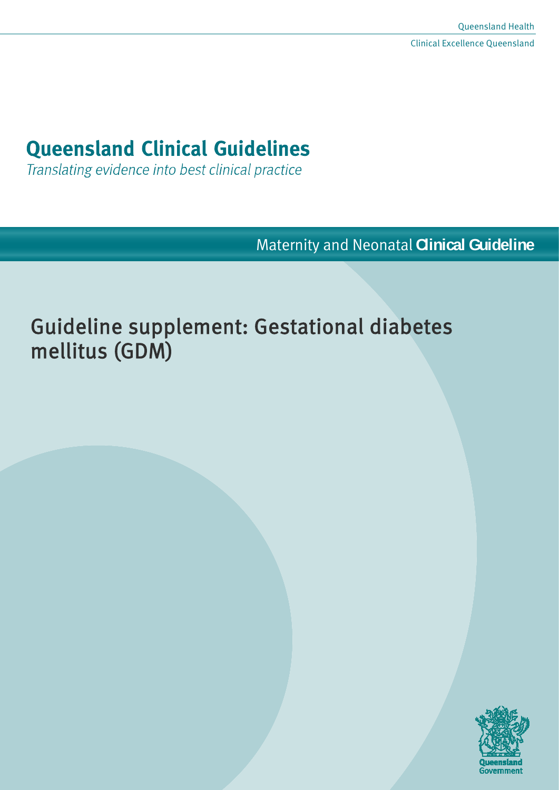# **Queensland Clinical Guidelines**

Translating evidence into best clinical practice

Maternity and Neonatal **Clinical Guideline**

# Guideline supplement: Gestational diabetes mellitus (GDM)

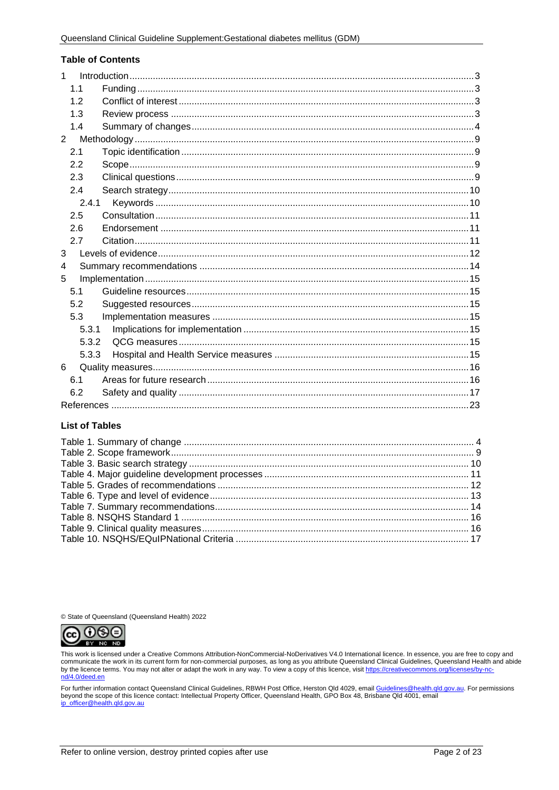#### **Table of Contents**

| $\mathbf{1}$ |  |
|--------------|--|
| 1.1          |  |
| 12           |  |
| 1.3          |  |
| 1.4          |  |
| $2^{\circ}$  |  |
| 2.1          |  |
| 2.2          |  |
| 2.3          |  |
| 2.4          |  |
| 2.4.1        |  |
| 2.5          |  |
| 2.6          |  |
| 2.7          |  |
| 3            |  |
| 4            |  |
| 5            |  |
| 5.1          |  |
| 5.2          |  |
| 5.3          |  |
| 5.3.1        |  |
| 5.3.2        |  |
| 5.3.3        |  |
| 6            |  |
| 6.1          |  |
| 6.2          |  |
|              |  |

#### **List of Tables**

© State of Queensland (Queensland Health) 2022



This work is licensed under a Creative Commons Attribution-NonCommercial-NoDerivatives V4.0 International licence. In essence, you are free to copy and communicate the work in its current form for non-commercial purposes, as long as you attribute Queensland Clinical Guidelines, Queensland Health and abide<br>by the licence terms. You may not alter or adapt the work in any wa

For further information contact Queensland Clinical Guidelines, RBWH Post Office, Herston Qld 4029, email <u>Guidelines@health.qld.gov.au</u>. For permissions<br>beyond the scope of this licence contact: Intellectual Property Offi ip\_officer@health.gld.gov.au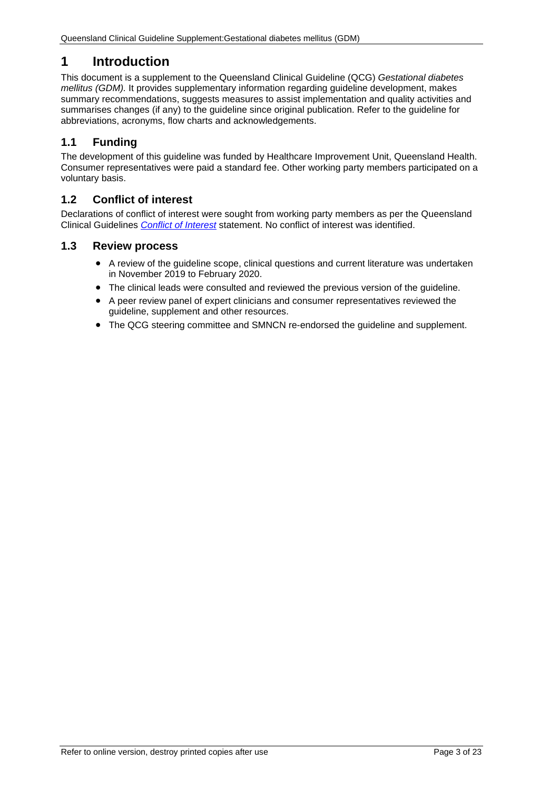# <span id="page-2-0"></span>**1 Introduction**

This document is a supplement to the Queensland Clinical Guideline (QCG) *Gestational diabetes mellitus (GDM).* It provides supplementary information regarding guideline development, makes summary recommendations, suggests measures to assist implementation and quality activities and summarises changes (if any) to the guideline since original publication. Refer to the guideline for abbreviations, acronyms, flow charts and acknowledgements.

# <span id="page-2-1"></span>**1.1 Funding**

The development of this guideline was funded by Healthcare Improvement Unit, Queensland Health. Consumer representatives were paid a standard fee. Other working party members participated on a voluntary basis.

# <span id="page-2-2"></span>**1.2 Conflict of interest**

Declarations of conflict of interest were sought from working party members as per the Queensland Clinical Guidelines *[Conflict of Interest](http://www.health.qld.gov.au/qcg/development#coi)* statement. No conflict of interest was identified.

## <span id="page-2-3"></span>**1.3 Review process**

- A review of the guideline scope, clinical questions and current literature was undertaken in November 2019 to February 2020.
- The clinical leads were consulted and reviewed the previous version of the guideline.
- A peer review panel of expert clinicians and consumer representatives reviewed the guideline, supplement and other resources.
- The QCG steering committee and SMNCN re-endorsed the guideline and supplement.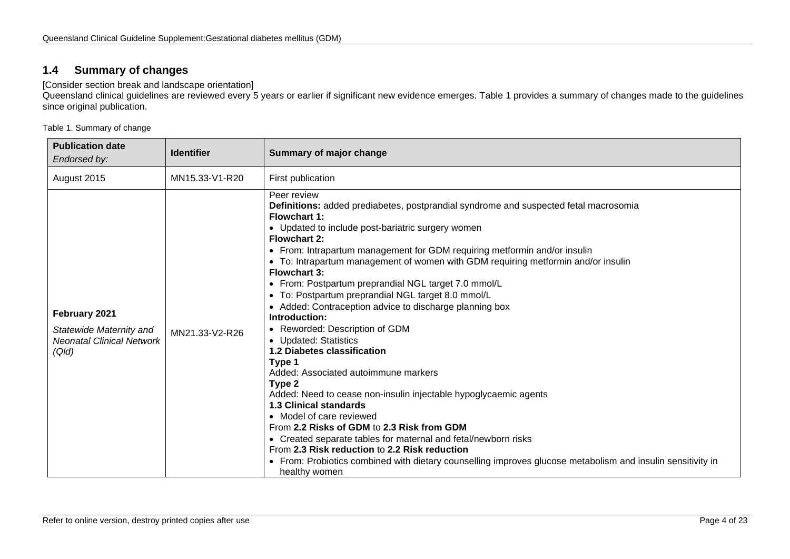## **1.4 Summary of changes**

[Consider section break and landscape orientation]

Queensland clinical guidelines are reviewed every 5 years or earlier if significant new evidence emerges. [Table 1](#page-3-2) provides a summary of changes made to the guidelines since original publication.

<span id="page-3-2"></span>Table 1. Summary of change

<span id="page-3-1"></span><span id="page-3-0"></span>

| <b>Publication date</b><br>Endorsed by:                                               | <b>Identifier</b> | Summary of major change                                                                                                                                                                                                                                                                                                                                                                                                                                                                                                                                                                                                                                                                                                                                                                                                                                                                                                                                                                                                                                                                                                                                                  |
|---------------------------------------------------------------------------------------|-------------------|--------------------------------------------------------------------------------------------------------------------------------------------------------------------------------------------------------------------------------------------------------------------------------------------------------------------------------------------------------------------------------------------------------------------------------------------------------------------------------------------------------------------------------------------------------------------------------------------------------------------------------------------------------------------------------------------------------------------------------------------------------------------------------------------------------------------------------------------------------------------------------------------------------------------------------------------------------------------------------------------------------------------------------------------------------------------------------------------------------------------------------------------------------------------------|
| August 2015                                                                           | MN15.33-V1-R20    | First publication                                                                                                                                                                                                                                                                                                                                                                                                                                                                                                                                                                                                                                                                                                                                                                                                                                                                                                                                                                                                                                                                                                                                                        |
| February 2021<br>Statewide Maternity and<br><b>Neonatal Clinical Network</b><br>(Qld) | MN21.33-V2-R26    | Peer review<br>Definitions: added prediabetes, postprandial syndrome and suspected fetal macrosomia<br>Flowchart 1:<br>• Updated to include post-bariatric surgery women<br><b>Flowchart 2:</b><br>• From: Intrapartum management for GDM requiring metformin and/or insulin<br>• To: Intrapartum management of women with GDM requiring metformin and/or insulin<br><b>Flowchart 3:</b><br>• From: Postpartum preprandial NGL target 7.0 mmol/L<br>• To: Postpartum preprandial NGL target 8.0 mmol/L<br>• Added: Contraception advice to discharge planning box<br>Introduction:<br>Reworded: Description of GDM<br>• Updated: Statistics<br>1.2 Diabetes classification<br>Type 1<br>Added: Associated autoimmune markers<br>Type 2<br>Added: Need to cease non-insulin injectable hypoglycaemic agents<br><b>1.3 Clinical standards</b><br>• Model of care reviewed<br>From 2.2 Risks of GDM to 2.3 Risk from GDM<br>• Created separate tables for maternal and fetal/newborn risks<br>From 2.3 Risk reduction to 2.2 Risk reduction<br>• From: Probiotics combined with dietary counselling improves glucose metabolism and insulin sensitivity in<br>healthy women |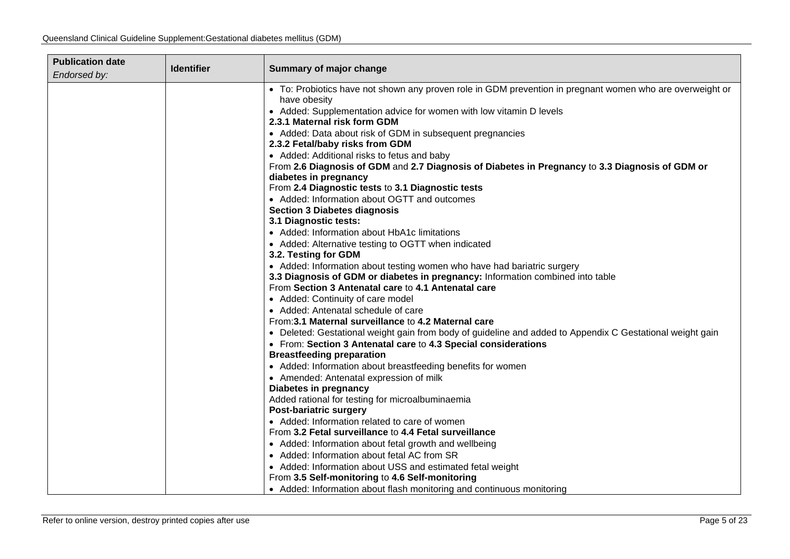| <b>Publication date</b> | <b>Identifier</b> | <b>Summary of major change</b>                                                                            |  |
|-------------------------|-------------------|-----------------------------------------------------------------------------------------------------------|--|
| Endorsed by:            |                   |                                                                                                           |  |
|                         |                   | • To: Probiotics have not shown any proven role in GDM prevention in pregnant women who are overweight or |  |
|                         |                   | have obesity                                                                                              |  |
|                         |                   | • Added: Supplementation advice for women with low vitamin D levels                                       |  |
|                         |                   | 2.3.1 Maternal risk form GDM                                                                              |  |
|                         |                   | • Added: Data about risk of GDM in subsequent pregnancies                                                 |  |
|                         |                   | 2.3.2 Fetal/baby risks from GDM                                                                           |  |
|                         |                   | • Added: Additional risks to fetus and baby                                                               |  |
|                         |                   | From 2.6 Diagnosis of GDM and 2.7 Diagnosis of Diabetes in Pregnancy to 3.3 Diagnosis of GDM or           |  |
|                         |                   | diabetes in pregnancy                                                                                     |  |
|                         |                   | From 2.4 Diagnostic tests to 3.1 Diagnostic tests                                                         |  |
|                         |                   | • Added: Information about OGTT and outcomes                                                              |  |
|                         |                   | <b>Section 3 Diabetes diagnosis</b>                                                                       |  |
|                         |                   | 3.1 Diagnostic tests:                                                                                     |  |
|                         |                   | • Added: Information about HbA1c limitations                                                              |  |
|                         |                   | • Added: Alternative testing to OGTT when indicated                                                       |  |
|                         |                   | 3.2. Testing for GDM<br>• Added: Information about testing women who have had bariatric surgery           |  |
|                         |                   | 3.3 Diagnosis of GDM or diabetes in pregnancy: Information combined into table                            |  |
|                         |                   | From Section 3 Antenatal care to 4.1 Antenatal care                                                       |  |
|                         |                   | • Added: Continuity of care model                                                                         |  |
|                         |                   | • Added: Antenatal schedule of care                                                                       |  |
|                         |                   | From: 3.1 Maternal surveillance to 4.2 Maternal care                                                      |  |
|                         |                   | • Deleted: Gestational weight gain from body of guideline and added to Appendix C Gestational weight gain |  |
|                         |                   | • From: Section 3 Antenatal care to 4.3 Special considerations                                            |  |
|                         |                   | <b>Breastfeeding preparation</b>                                                                          |  |
|                         |                   | • Added: Information about breastfeeding benefits for women                                               |  |
|                         |                   | • Amended: Antenatal expression of milk                                                                   |  |
|                         |                   | Diabetes in pregnancy                                                                                     |  |
|                         |                   | Added rational for testing for microalbuminaemia                                                          |  |
|                         |                   | <b>Post-bariatric surgery</b>                                                                             |  |
|                         |                   | • Added: Information related to care of women                                                             |  |
|                         |                   | From 3.2 Fetal surveillance to 4.4 Fetal surveillance                                                     |  |
|                         |                   | • Added: Information about fetal growth and wellbeing                                                     |  |
|                         |                   | • Added: Information about fetal AC from SR                                                               |  |
|                         |                   | • Added: Information about USS and estimated fetal weight                                                 |  |
|                         |                   | From 3.5 Self-monitoring to 4.6 Self-monitoring                                                           |  |
|                         |                   | • Added: Information about flash monitoring and continuous monitoring                                     |  |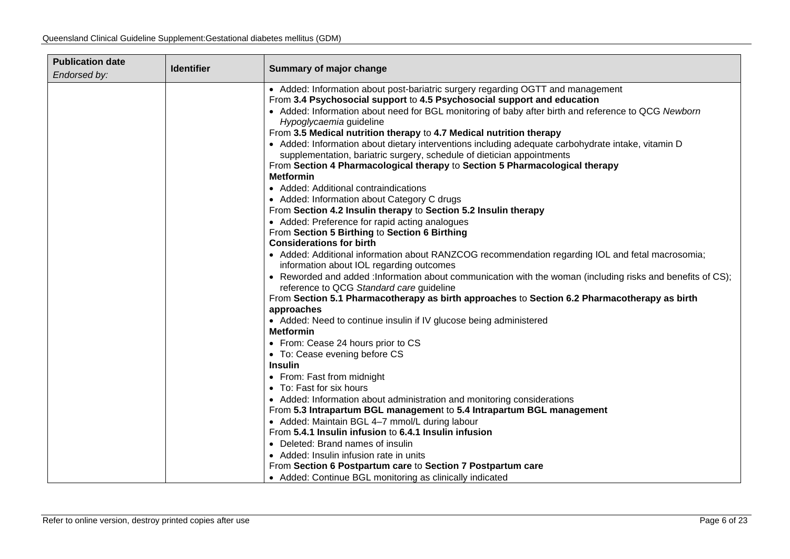| <b>Publication date</b><br>Endorsed by: | <b>Identifier</b> | Summary of major change                                                                                                                                 |
|-----------------------------------------|-------------------|---------------------------------------------------------------------------------------------------------------------------------------------------------|
|                                         |                   | • Added: Information about post-bariatric surgery regarding OGTT and management                                                                         |
|                                         |                   | From 3.4 Psychosocial support to 4.5 Psychosocial support and education                                                                                 |
|                                         |                   | • Added: Information about need for BGL monitoring of baby after birth and reference to QCG Newborn<br>Hypoglycaemia guideline                          |
|                                         |                   | From 3.5 Medical nutrition therapy to 4.7 Medical nutrition therapy                                                                                     |
|                                         |                   | • Added: Information about dietary interventions including adequate carbohydrate intake, vitamin D                                                      |
|                                         |                   | supplementation, bariatric surgery, schedule of dietician appointments                                                                                  |
|                                         |                   | From Section 4 Pharmacological therapy to Section 5 Pharmacological therapy                                                                             |
|                                         |                   | <b>Metformin</b>                                                                                                                                        |
|                                         |                   | • Added: Additional contraindications                                                                                                                   |
|                                         |                   | • Added: Information about Category C drugs                                                                                                             |
|                                         |                   | From Section 4.2 Insulin therapy to Section 5.2 Insulin therapy                                                                                         |
|                                         |                   | • Added: Preference for rapid acting analogues                                                                                                          |
|                                         |                   | From Section 5 Birthing to Section 6 Birthing                                                                                                           |
|                                         |                   | <b>Considerations for birth</b>                                                                                                                         |
|                                         |                   | • Added: Additional information about RANZCOG recommendation regarding IOL and fetal macrosomia;                                                        |
|                                         |                   | information about IOL regarding outcomes<br>• Reworded and added : Information about communication with the woman (including risks and benefits of CS); |
|                                         |                   | reference to QCG Standard care guideline                                                                                                                |
|                                         |                   | From Section 5.1 Pharmacotherapy as birth approaches to Section 6.2 Pharmacotherapy as birth                                                            |
|                                         |                   | approaches                                                                                                                                              |
|                                         |                   | • Added: Need to continue insulin if IV glucose being administered                                                                                      |
|                                         |                   | <b>Metformin</b>                                                                                                                                        |
|                                         |                   | • From: Cease 24 hours prior to CS                                                                                                                      |
|                                         |                   | • To: Cease evening before CS                                                                                                                           |
|                                         |                   | <b>Insulin</b>                                                                                                                                          |
|                                         |                   | • From: Fast from midnight                                                                                                                              |
|                                         |                   | • To: Fast for six hours                                                                                                                                |
|                                         |                   | • Added: Information about administration and monitoring considerations                                                                                 |
|                                         |                   | From 5.3 Intrapartum BGL management to 5.4 Intrapartum BGL management                                                                                   |
|                                         |                   | • Added: Maintain BGL 4-7 mmol/L during labour                                                                                                          |
|                                         |                   | From 5.4.1 Insulin infusion to 6.4.1 Insulin infusion                                                                                                   |
|                                         |                   | • Deleted: Brand names of insulin                                                                                                                       |
|                                         |                   | • Added: Insulin infusion rate in units                                                                                                                 |
|                                         |                   | From Section 6 Postpartum care to Section 7 Postpartum care                                                                                             |
|                                         |                   | • Added: Continue BGL monitoring as clinically indicated                                                                                                |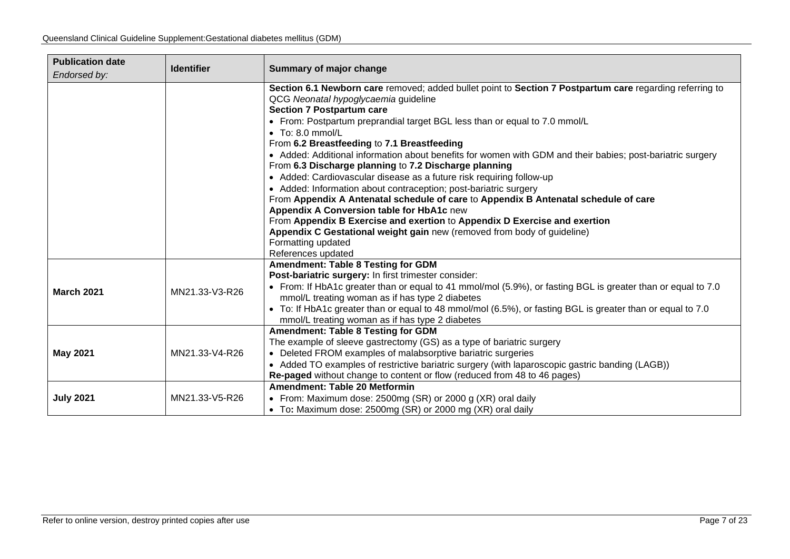| <b>Publication date</b>  | <b>Identifier</b> | Summary of major change                                                                                                                              |
|--------------------------|-------------------|------------------------------------------------------------------------------------------------------------------------------------------------------|
| Endorsed by:             |                   |                                                                                                                                                      |
|                          |                   | Section 6.1 Newborn care removed; added bullet point to Section 7 Postpartum care regarding referring to                                             |
|                          |                   | QCG Neonatal hypoglycaemia guideline                                                                                                                 |
|                          |                   | <b>Section 7 Postpartum care</b>                                                                                                                     |
|                          |                   | • From: Postpartum preprandial target BGL less than or equal to 7.0 mmol/L                                                                           |
| $\bullet$ To: 8.0 mmol/L |                   |                                                                                                                                                      |
|                          |                   | From 6.2 Breastfeeding to 7.1 Breastfeeding                                                                                                          |
|                          |                   | • Added: Additional information about benefits for women with GDM and their babies; post-bariatric surgery                                           |
|                          |                   | From 6.3 Discharge planning to 7.2 Discharge planning                                                                                                |
|                          |                   | • Added: Cardiovascular disease as a future risk requiring follow-up                                                                                 |
|                          |                   | • Added: Information about contraception; post-bariatric surgery                                                                                     |
|                          |                   | From Appendix A Antenatal schedule of care to Appendix B Antenatal schedule of care                                                                  |
|                          |                   | Appendix A Conversion table for HbA1c new                                                                                                            |
|                          |                   | From Appendix B Exercise and exertion to Appendix D Exercise and exertion<br>Appendix C Gestational weight gain new (removed from body of guideline) |
|                          |                   | Formatting updated                                                                                                                                   |
|                          |                   | References updated                                                                                                                                   |
|                          |                   | <b>Amendment: Table 8 Testing for GDM</b>                                                                                                            |
|                          |                   | Post-bariatric surgery: In first trimester consider:                                                                                                 |
|                          |                   | • From: If HbA1c greater than or equal to 41 mmol/mol (5.9%), or fasting BGL is greater than or equal to 7.0                                         |
| <b>March 2021</b>        | MN21.33-V3-R26    | mmol/L treating woman as if has type 2 diabetes                                                                                                      |
|                          |                   | • To: If HbA1c greater than or equal to 48 mmol/mol (6.5%), or fasting BGL is greater than or equal to 7.0                                           |
|                          |                   | mmol/L treating woman as if has type 2 diabetes                                                                                                      |
|                          |                   | <b>Amendment: Table 8 Testing for GDM</b>                                                                                                            |
|                          |                   | The example of sleeve gastrectomy (GS) as a type of bariatric surgery                                                                                |
| <b>May 2021</b>          | MN21.33-V4-R26    | • Deleted FROM examples of malabsorptive bariatric surgeries                                                                                         |
|                          |                   | • Added TO examples of restrictive bariatric surgery (with laparoscopic gastric banding (LAGB))                                                      |
|                          |                   | Re-paged without change to content or flow (reduced from 48 to 46 pages)                                                                             |
|                          |                   | Amendment: Table 20 Metformin                                                                                                                        |
| <b>July 2021</b>         | MN21.33-V5-R26    | • From: Maximum dose: 2500mg (SR) or 2000 g (XR) oral daily                                                                                          |
|                          |                   | • To: Maximum dose: 2500mg (SR) or 2000 mg (XR) oral daily                                                                                           |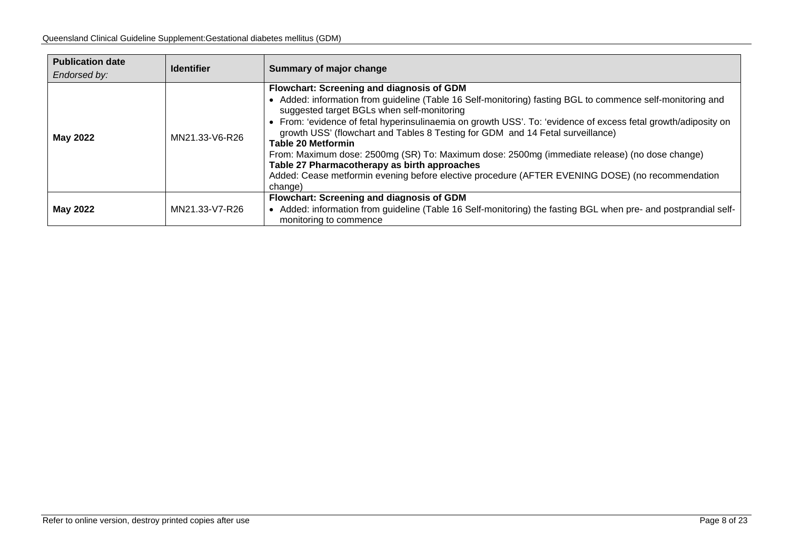| <b>Publication date</b><br>Endorsed by: | <b>Identifier</b> | Summary of major change                                                                                                                                                                                                                                                                                                                                                                                                                                                                                                                                                                                                                                                                                |
|-----------------------------------------|-------------------|--------------------------------------------------------------------------------------------------------------------------------------------------------------------------------------------------------------------------------------------------------------------------------------------------------------------------------------------------------------------------------------------------------------------------------------------------------------------------------------------------------------------------------------------------------------------------------------------------------------------------------------------------------------------------------------------------------|
| <b>May 2022</b>                         | MN21.33-V6-R26    | <b>Flowchart: Screening and diagnosis of GDM</b><br>• Added: information from guideline (Table 16 Self-monitoring) fasting BGL to commence self-monitoring and<br>suggested target BGLs when self-monitoring<br>• From: 'evidence of fetal hyperinsulinaemia on growth USS'. To: 'evidence of excess fetal growth/adiposity on<br>growth USS' (flowchart and Tables 8 Testing for GDM and 14 Fetal surveillance)<br>Table 20 Metformin<br>From: Maximum dose: 2500mg (SR) To: Maximum dose: 2500mg (immediate release) (no dose change)<br>Table 27 Pharmacotherapy as birth approaches<br>Added: Cease metformin evening before elective procedure (AFTER EVENING DOSE) (no recommendation<br>change) |
| <b>May 2022</b>                         | MN21.33-V7-R26    | Flowchart: Screening and diagnosis of GDM<br>• Added: information from guideline (Table 16 Self-monitoring) the fasting BGL when pre- and postprandial self-<br>monitoring to commence                                                                                                                                                                                                                                                                                                                                                                                                                                                                                                                 |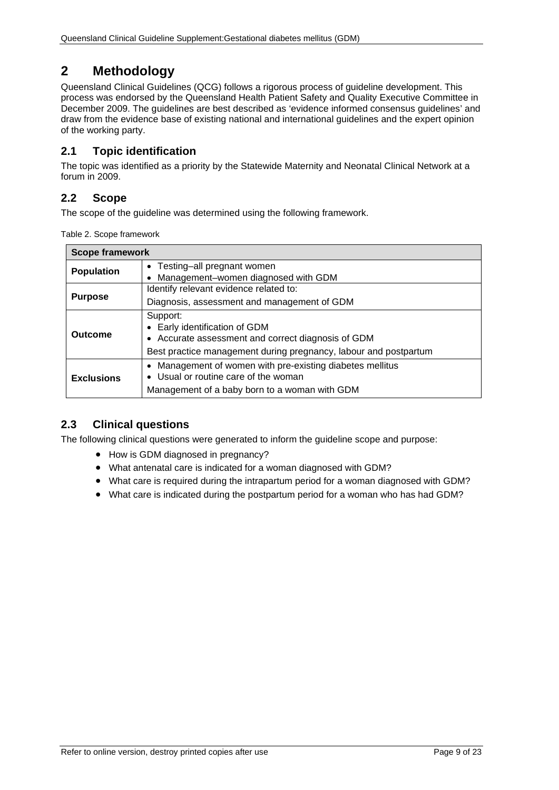# <span id="page-8-0"></span>**2 Methodology**

Queensland Clinical Guidelines (QCG) follows a rigorous process of guideline development. This process was endorsed by the Queensland Health Patient Safety and Quality Executive Committee in December 2009. The guidelines are best described as 'evidence informed consensus guidelines' and draw from the evidence base of existing national and international guidelines and the expert opinion of the working party.

## <span id="page-8-1"></span>**2.1 Topic identification**

The topic was identified as a priority by the Statewide Maternity and Neonatal Clinical Network at a forum in 2009.

## <span id="page-8-2"></span>**2.2 Scope**

<span id="page-8-4"></span>The scope of the guideline was determined using the following framework.

Table 2. Scope framework

| <b>Scope framework</b> |                                                                                                                                                                     |
|------------------------|---------------------------------------------------------------------------------------------------------------------------------------------------------------------|
| <b>Population</b>      | • Testing-all pregnant women                                                                                                                                        |
|                        | • Management-women diagnosed with GDM<br>Identify relevant evidence related to:                                                                                     |
| <b>Purpose</b>         | Diagnosis, assessment and management of GDM                                                                                                                         |
| Outcome                | Support:<br>• Early identification of GDM<br>• Accurate assessment and correct diagnosis of GDM<br>Best practice management during pregnancy, labour and postpartum |
| <b>Exclusions</b>      | Management of women with pre-existing diabetes mellitus<br>Usual or routine care of the woman<br>Management of a baby born to a woman with GDM                      |

## <span id="page-8-3"></span>**2.3 Clinical questions**

The following clinical questions were generated to inform the guideline scope and purpose:

- How is GDM diagnosed in pregnancy?
- What antenatal care is indicated for a woman diagnosed with GDM?
- What care is required during the intrapartum period for a woman diagnosed with GDM?
- What care is indicated during the postpartum period for a woman who has had GDM?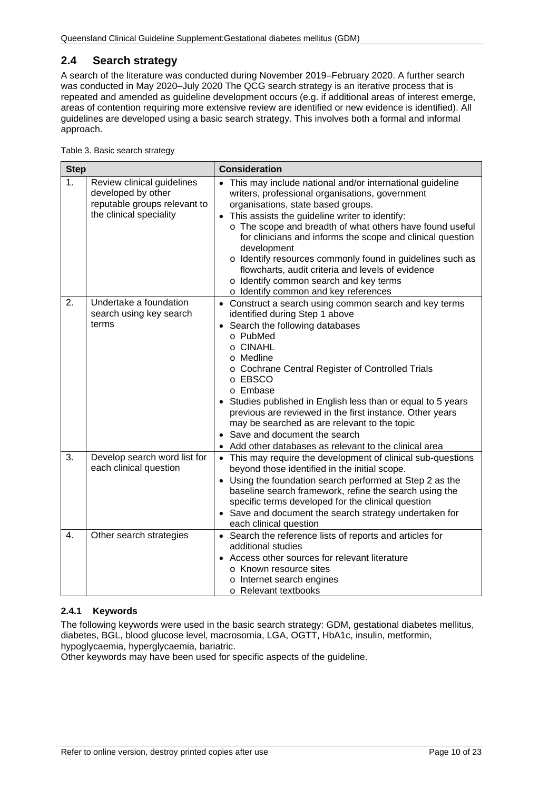# <span id="page-9-0"></span>**2.4 Search strategy**

A search of the literature was conducted during November 2019–February 2020. A further search was conducted in May 2020–July 2020 The QCG search strategy is an iterative process that is repeated and amended as guideline development occurs (e.g. if additional areas of interest emerge, areas of contention requiring more extensive review are identified or new evidence is identified). All guidelines are developed using a basic search strategy. This involves both a formal and informal approach.

<span id="page-9-2"></span>

| Table 3. Basic search strategy |  |  |  |
|--------------------------------|--|--|--|
|--------------------------------|--|--|--|

| <b>Step</b>      |                                                                                                             | <b>Consideration</b>                                                                                                                                                                                                                                                                                                                                                                                                                                                                                                                                          |
|------------------|-------------------------------------------------------------------------------------------------------------|---------------------------------------------------------------------------------------------------------------------------------------------------------------------------------------------------------------------------------------------------------------------------------------------------------------------------------------------------------------------------------------------------------------------------------------------------------------------------------------------------------------------------------------------------------------|
| 1 <sub>1</sub>   | Review clinical guidelines<br>developed by other<br>reputable groups relevant to<br>the clinical speciality | This may include national and/or international guideline<br>writers, professional organisations, government<br>organisations, state based groups.<br>This assists the guideline writer to identify:<br>$\bullet$<br>o The scope and breadth of what others have found useful<br>for clinicians and informs the scope and clinical question<br>development<br>o Identify resources commonly found in guidelines such as<br>flowcharts, audit criteria and levels of evidence<br>o Identify common search and key terms<br>o Identify common and key references |
| 2.               | Undertake a foundation<br>search using key search<br>terms                                                  | • Construct a search using common search and key terms<br>identified during Step 1 above<br>• Search the following databases<br>o PubMed<br>o CINAHL<br>o Medline<br>o Cochrane Central Register of Controlled Trials<br>o EBSCO<br>o Embase<br>Studies published in English less than or equal to 5 years<br>previous are reviewed in the first instance. Other years<br>may be searched as are relevant to the topic<br>• Save and document the search<br>Add other databases as relevant to the clinical area                                              |
| 3.               | Develop search word list for<br>each clinical question                                                      | • This may require the development of clinical sub-questions<br>beyond those identified in the initial scope.<br>• Using the foundation search performed at Step 2 as the<br>baseline search framework, refine the search using the<br>specific terms developed for the clinical question<br>• Save and document the search strategy undertaken for<br>each clinical question                                                                                                                                                                                 |
| $\overline{4}$ . | Other search strategies                                                                                     | • Search the reference lists of reports and articles for<br>additional studies<br>Access other sources for relevant literature<br>$\bullet$<br>o Known resource sites<br>o Internet search engines<br>o Relevant textbooks                                                                                                                                                                                                                                                                                                                                    |

#### <span id="page-9-1"></span>**2.4.1 Keywords**

The following keywords were used in the basic search strategy: GDM, gestational diabetes mellitus, diabetes, BGL, blood glucose level, macrosomia, LGA, OGTT, HbA1c, insulin, metformin, hypoglycaemia, hyperglycaemia, bariatric.

Other keywords may have been used for specific aspects of the guideline.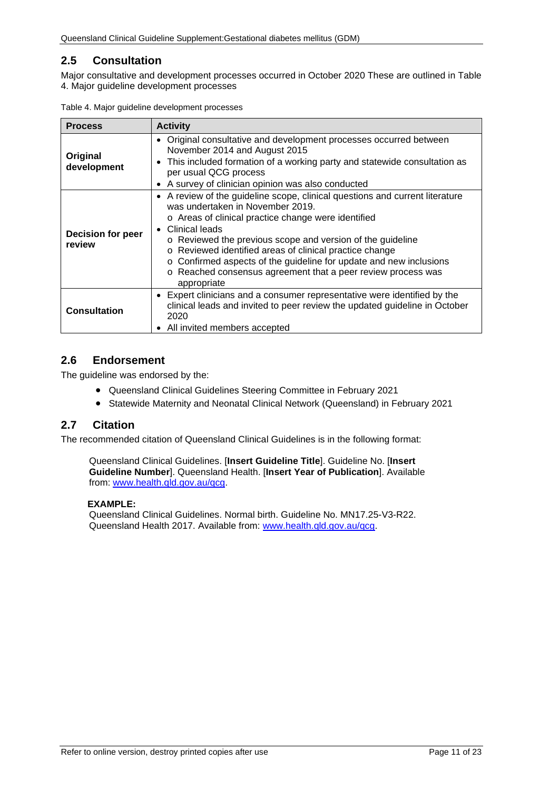# <span id="page-10-0"></span>**2.5 Consultation**

Major consultative and development processes occurred in October 2020 These are outlined in [Table](#page-10-3)  4. Major [guideline development processes](#page-10-3)

| <b>Process</b>                     | <b>Activity</b>                                                                                                                                                                                                                                                                                                                                                                                                                                                                      |
|------------------------------------|--------------------------------------------------------------------------------------------------------------------------------------------------------------------------------------------------------------------------------------------------------------------------------------------------------------------------------------------------------------------------------------------------------------------------------------------------------------------------------------|
| Original<br>development            | • Original consultative and development processes occurred between<br>November 2014 and August 2015<br>This included formation of a working party and statewide consultation as<br>$\bullet$<br>per usual QCG process<br>A survey of clinician opinion was also conducted                                                                                                                                                                                                            |
| <b>Decision for peer</b><br>review | • A review of the guideline scope, clinical questions and current literature<br>was undertaken in November 2019.<br>o Areas of clinical practice change were identified<br>Clinical leads<br>$\bullet$<br>o Reviewed the previous scope and version of the guideline<br>o Reviewed identified areas of clinical practice change<br>o Confirmed aspects of the guideline for update and new inclusions<br>o Reached consensus agreement that a peer review process was<br>appropriate |
| <b>Consultation</b>                | • Expert clinicians and a consumer representative were identified by the<br>clinical leads and invited to peer review the updated guideline in October<br>2020<br>All invited members accepted                                                                                                                                                                                                                                                                                       |

<span id="page-10-3"></span>Table 4. Major guideline development processes

## <span id="page-10-1"></span>**2.6 Endorsement**

The guideline was endorsed by the:

- Queensland Clinical Guidelines Steering Committee in February 2021
- Statewide Maternity and Neonatal Clinical Network (Queensland) in February 2021

#### <span id="page-10-2"></span>**2.7 Citation**

The recommended citation of Queensland Clinical Guidelines is in the following format:

Queensland Clinical Guidelines. [**Insert Guideline Title**]. Guideline No. [**Insert Guideline Number**]. Queensland Health. [**Insert Year of Publication**]. Available from: [www.health.qld.gov.au/qcg.](http://www.health.qld.gov.au/qcg)

#### **EXAMPLE:**

Queensland Clinical Guidelines. Normal birth. Guideline No. MN17.25-V3-R22. Queensland Health 2017. Available from: [www.health.qld.gov.au/qcg.](http://www.health.qld.gov.au/qcg)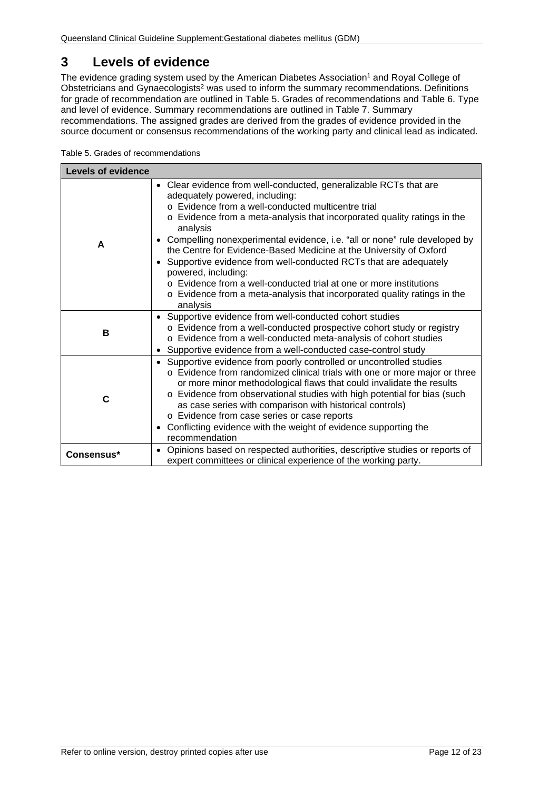# <span id="page-11-0"></span>**3 Levels of evidence**

The evidence grading system used by the American Diabetes Association<sup>1</sup> and Royal College of Obstetricians and Gynaecologists2 was used to inform the summary recommendations. Definitions for grade of recommendation are outlined in [Table 5. Grades of recommendations](#page-11-1) and [Table 6. Type](#page-12-0)  [and level of evidence.](#page-12-0) Summary recommendations are outlined in [Table 7. Summary](#page-13-1)  [recommendations.](#page-13-1) The assigned grades are derived from the grades of evidence provided in the source document or consensus recommendations of the working party and clinical lead as indicated.

<span id="page-11-1"></span>

| Table 5. Grades of recommendations |  |
|------------------------------------|--|
|------------------------------------|--|

| <b>Levels of evidence</b>                                                                                                                                                                                                                                                       |                                                                                                                                                                                                                                                                                                                                                                                                                                                                                                                                                                                                                                                                         |  |  |
|---------------------------------------------------------------------------------------------------------------------------------------------------------------------------------------------------------------------------------------------------------------------------------|-------------------------------------------------------------------------------------------------------------------------------------------------------------------------------------------------------------------------------------------------------------------------------------------------------------------------------------------------------------------------------------------------------------------------------------------------------------------------------------------------------------------------------------------------------------------------------------------------------------------------------------------------------------------------|--|--|
| A                                                                                                                                                                                                                                                                               | • Clear evidence from well-conducted, generalizable RCTs that are<br>adequately powered, including:<br>o Evidence from a well-conducted multicentre trial<br>o Evidence from a meta-analysis that incorporated quality ratings in the<br>analysis<br>• Compelling nonexperimental evidence, i.e. "all or none" rule developed by<br>the Centre for Evidence-Based Medicine at the University of Oxford<br>• Supportive evidence from well-conducted RCTs that are adequately<br>powered, including:<br>$\circ$ Evidence from a well-conducted trial at one or more institutions<br>o Evidence from a meta-analysis that incorporated quality ratings in the<br>analysis |  |  |
| • Supportive evidence from well-conducted cohort studies<br>o Evidence from a well-conducted prospective cohort study or registry<br>В<br>o Evidence from a well-conducted meta-analysis of cohort studies<br>Supportive evidence from a well-conducted case-control study<br>٠ |                                                                                                                                                                                                                                                                                                                                                                                                                                                                                                                                                                                                                                                                         |  |  |
| C                                                                                                                                                                                                                                                                               | Supportive evidence from poorly controlled or uncontrolled studies<br>$\bullet$<br>o Evidence from randomized clinical trials with one or more major or three<br>or more minor methodological flaws that could invalidate the results<br>o Evidence from observational studies with high potential for bias (such<br>as case series with comparison with historical controls)<br>o Evidence from case series or case reports<br>Conflicting evidence with the weight of evidence supporting the<br>٠<br>recommendation                                                                                                                                                  |  |  |
| Consensus*                                                                                                                                                                                                                                                                      | Opinions based on respected authorities, descriptive studies or reports of<br>$\bullet$<br>expert committees or clinical experience of the working party.                                                                                                                                                                                                                                                                                                                                                                                                                                                                                                               |  |  |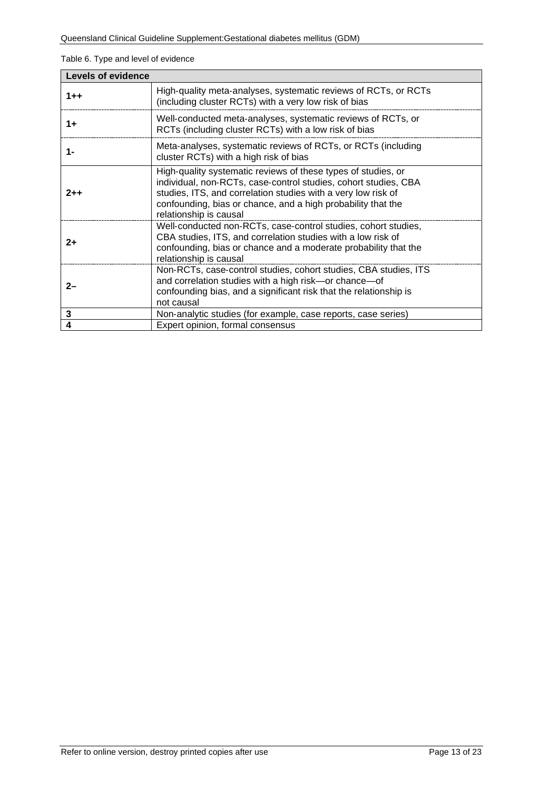#### <span id="page-12-0"></span>Table 6. Type and level of evidence

| <b>Levels of evidence</b> |                                                                                                                                                                                                                                                                                             |  |
|---------------------------|---------------------------------------------------------------------------------------------------------------------------------------------------------------------------------------------------------------------------------------------------------------------------------------------|--|
| $1 + +$                   | High-quality meta-analyses, systematic reviews of RCTs, or RCTs<br>(including cluster RCTs) with a very low risk of bias                                                                                                                                                                    |  |
| $1+$                      | Well-conducted meta-analyses, systematic reviews of RCTs, or<br>RCTs (including cluster RCTs) with a low risk of bias                                                                                                                                                                       |  |
| 1-                        | Meta-analyses, systematic reviews of RCTs, or RCTs (including<br>cluster RCTs) with a high risk of bias                                                                                                                                                                                     |  |
| $2 + +$                   | High-quality systematic reviews of these types of studies, or<br>individual, non-RCTs, case-control studies, cohort studies, CBA<br>studies, ITS, and correlation studies with a very low risk of<br>confounding, bias or chance, and a high probability that the<br>relationship is causal |  |
| $2+$                      | Well-conducted non-RCTs, case-control studies, cohort studies,<br>CBA studies, ITS, and correlation studies with a low risk of<br>confounding, bias or chance and a moderate probability that the<br>relationship is causal                                                                 |  |
| $2-$                      | Non-RCTs, case-control studies, cohort studies, CBA studies, ITS<br>and correlation studies with a high risk-or chance-of<br>confounding bias, and a significant risk that the relationship is<br>not causal                                                                                |  |
| 3                         | Non-analytic studies (for example, case reports, case series)                                                                                                                                                                                                                               |  |
| 4                         | Expert opinion, formal consensus                                                                                                                                                                                                                                                            |  |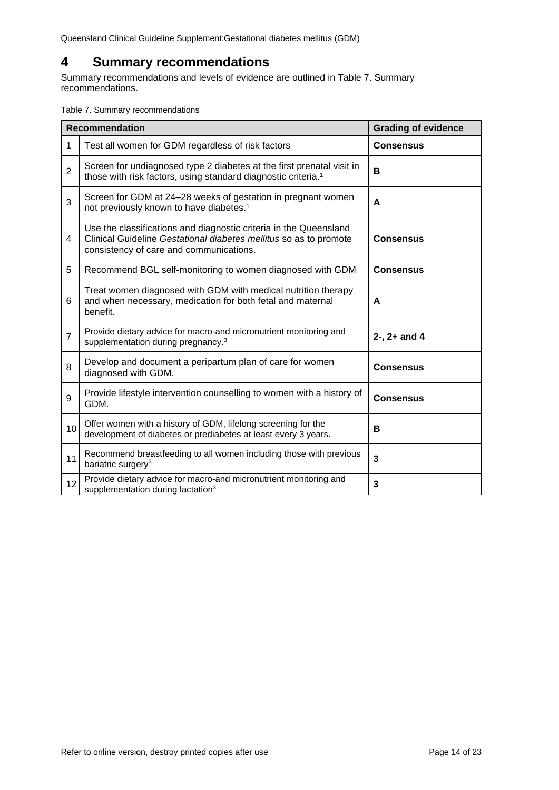# <span id="page-13-0"></span>**4 Summary recommendations**

Summary recommendations and levels of evidence are outlined in [Table 7. Summary](#page-13-1)  [recommendations.](#page-13-1)

<span id="page-13-1"></span>Table 7. Summary recommendations

|                | <b>Recommendation</b>                                                                                                                                                             | <b>Grading of evidence</b> |
|----------------|-----------------------------------------------------------------------------------------------------------------------------------------------------------------------------------|----------------------------|
| 1              | Test all women for GDM regardless of risk factors                                                                                                                                 | <b>Consensus</b>           |
| $\overline{2}$ | Screen for undiagnosed type 2 diabetes at the first prenatal visit in<br>those with risk factors, using standard diagnostic criteria. <sup>1</sup>                                | в                          |
| 3              | Screen for GDM at 24-28 weeks of gestation in pregnant women<br>not previously known to have diabetes. <sup>1</sup>                                                               | A                          |
| 4              | Use the classifications and diagnostic criteria in the Queensland<br>Clinical Guideline Gestational diabetes mellitus so as to promote<br>consistency of care and communications. | <b>Consensus</b>           |
| 5              | Recommend BGL self-monitoring to women diagnosed with GDM                                                                                                                         | <b>Consensus</b>           |
| 6              | Treat women diagnosed with GDM with medical nutrition therapy<br>and when necessary, medication for both fetal and maternal<br>benefit.                                           | A                          |
| $\overline{7}$ | Provide dietary advice for macro-and micronutrient monitoring and<br>supplementation during pregnancy. <sup>3</sup>                                                               | $2 -$ , $2 +$ and 4        |
| 8              | Develop and document a peripartum plan of care for women<br>diagnosed with GDM.                                                                                                   | <b>Consensus</b>           |
| 9              | Provide lifestyle intervention counselling to women with a history of<br>GDM.                                                                                                     | <b>Consensus</b>           |
| 10             | Offer women with a history of GDM, lifelong screening for the<br>development of diabetes or prediabetes at least every 3 years.                                                   | в                          |
| 11             | Recommend breastfeeding to all women including those with previous<br>bariatric surgery <sup>3</sup>                                                                              | 3                          |
| 12             | Provide dietary advice for macro-and micronutrient monitoring and<br>supplementation during lactation <sup>3</sup>                                                                | 3                          |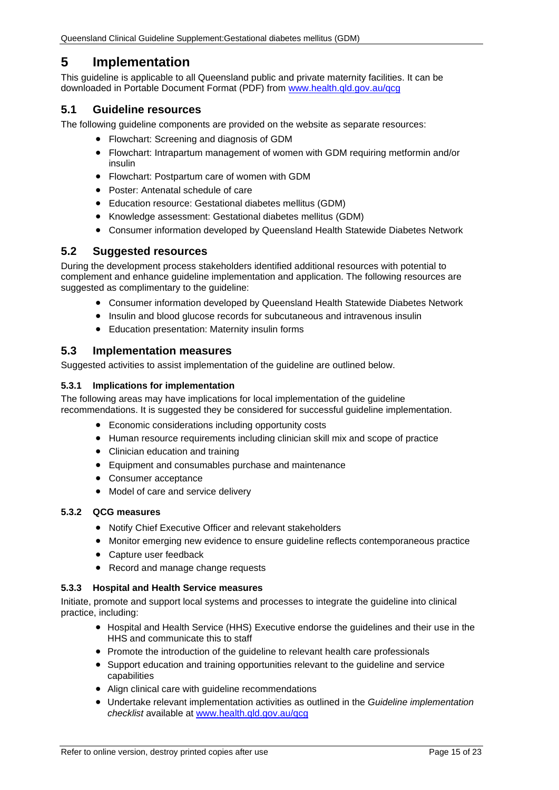# <span id="page-14-0"></span>**5 Implementation**

This guideline is applicable to all Queensland public and private maternity facilities. It can be downloaded in Portable Document Format (PDF) from [www.health.qld.gov.au/qcg](http://www.health.qld.gov.au/qcg)

## <span id="page-14-1"></span>**5.1 Guideline resources**

The following guideline components are provided on the website as separate resources:

- Flowchart: Screening and diagnosis of GDM
- Flowchart: Intrapartum management of women with GDM requiring metformin and/or insulin
- Flowchart: Postpartum care of women with GDM
- Poster: Antenatal schedule of care
- Education resource: Gestational diabetes mellitus (GDM)
- Knowledge assessment: Gestational diabetes mellitus (GDM)
- Consumer information developed by Queensland Health Statewide Diabetes Network

#### <span id="page-14-2"></span>**5.2 Suggested resources**

During the development process stakeholders identified additional resources with potential to complement and enhance guideline implementation and application. The following resources are suggested as complimentary to the quideline:

- Consumer information developed by Queensland Health Statewide Diabetes Network
- Insulin and blood glucose records for subcutaneous and intravenous insulin
- Education presentation: Maternity insulin forms

#### <span id="page-14-3"></span>**5.3 Implementation measures**

Suggested activities to assist implementation of the guideline are outlined below.

#### <span id="page-14-4"></span>**5.3.1 Implications for implementation**

The following areas may have implications for local implementation of the guideline recommendations. It is suggested they be considered for successful guideline implementation.

- Economic considerations including opportunity costs
- Human resource requirements including clinician skill mix and scope of practice
- Clinician education and training
- Equipment and consumables purchase and maintenance
- Consumer acceptance
- Model of care and service delivery

#### <span id="page-14-5"></span>**5.3.2 QCG measures**

- Notify Chief Executive Officer and relevant stakeholders
- Monitor emerging new evidence to ensure guideline reflects contemporaneous practice
- Capture user feedback
- Record and manage change requests

#### <span id="page-14-6"></span>**5.3.3 Hospital and Health Service measures**

Initiate, promote and support local systems and processes to integrate the guideline into clinical practice, including:

- Hospital and Health Service (HHS) Executive endorse the guidelines and their use in the HHS and communicate this to staff
- Promote the introduction of the guideline to relevant health care professionals
- Support education and training opportunities relevant to the guideline and service capabilities
- Align clinical care with guideline recommendations
- Undertake relevant implementation activities as outlined in the *Guideline implementation checklist* available at [www.health.qld.gov.au/qcg](http://www.health.qld.gov.au/qcg)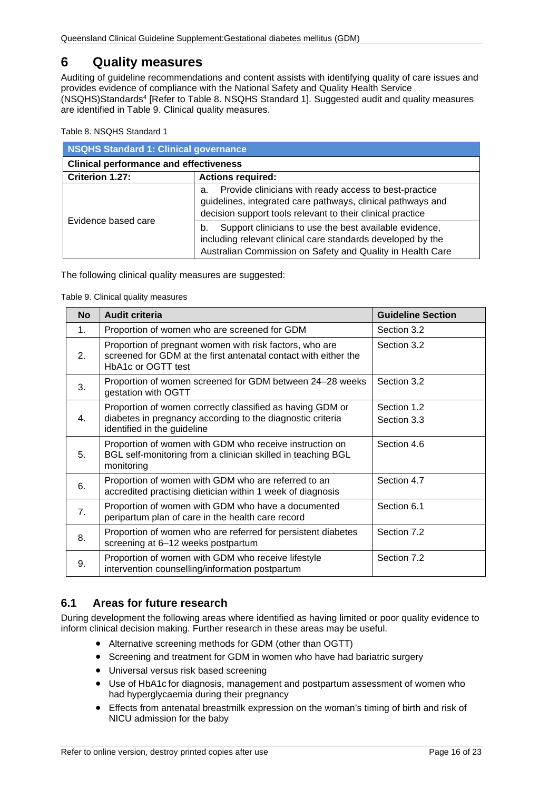# <span id="page-15-0"></span>**6 Quality measures**

Auditing of guideline recommendations and content assists with identifying quality of care issues and provides evidence of compliance with the National Safety and Quality Health Service (NSQHS)Standards4 [Refer to Table 8. [NSQHS Standard 1\]](#page-15-2). Suggested audit and quality measures are identified in [Table 9. Clinical quality measures.](#page-15-3)

<span id="page-15-2"></span>Table 8. NSQHS Standard 1

| <b>NSQHS Standard 1: Clinical governance</b>  |                                                                                                                                                                                           |  |  |
|-----------------------------------------------|-------------------------------------------------------------------------------------------------------------------------------------------------------------------------------------------|--|--|
| <b>Clinical performance and effectiveness</b> |                                                                                                                                                                                           |  |  |
| Criterion 1.27:                               | <b>Actions required:</b>                                                                                                                                                                  |  |  |
| Evidence based care                           | Provide clinicians with ready access to best-practice<br>a.<br>guidelines, integrated care pathways, clinical pathways and<br>decision support tools relevant to their clinical practice  |  |  |
|                                               | Support clinicians to use the best available evidence,<br>b.<br>including relevant clinical care standards developed by the<br>Australian Commission on Safety and Quality in Health Care |  |  |

<span id="page-15-3"></span>The following clinical quality measures are suggested:

Table 9. Clinical quality measures

| <b>No</b>      | <b>Audit criteria</b>                                                                                                                            | <b>Guideline Section</b> |
|----------------|--------------------------------------------------------------------------------------------------------------------------------------------------|--------------------------|
| 1.             | Proportion of women who are screened for GDM                                                                                                     | Section 3.2              |
| 2.             | Proportion of pregnant women with risk factors, who are<br>screened for GDM at the first antenatal contact with either the<br>HbA1c or OGTT test | Section 3.2              |
| 3.             | Proportion of women screened for GDM between 24-28 weeks<br>gestation with OGTT                                                                  | Section 3.2              |
|                | Proportion of women correctly classified as having GDM or                                                                                        | Section 1.2              |
| $\mathbf{4}$ . | diabetes in pregnancy according to the diagnostic criteria<br>identified in the guideline                                                        | Section 3.3              |
| 5.             | Proportion of women with GDM who receive instruction on<br>BGL self-monitoring from a clinician skilled in teaching BGL<br>monitoring            | Section 4.6              |
| 6.             | Proportion of women with GDM who are referred to an<br>accredited practising dietician within 1 week of diagnosis                                | Section 4.7              |
| 7.             | Proportion of women with GDM who have a documented<br>peripartum plan of care in the health care record                                          | Section 6.1              |
| 8.             | Proportion of women who are referred for persistent diabetes<br>screening at 6-12 weeks postpartum                                               | Section 7.2              |
| 9.             | Proportion of women with GDM who receive lifestyle<br>intervention counselling/information postpartum                                            | Section 7.2              |

## <span id="page-15-1"></span>**6.1 Areas for future research**

During development the following areas where identified as having limited or poor quality evidence to inform clinical decision making. Further research in these areas may be useful.

- Alternative screening methods for GDM (other than OGTT)
- Screening and treatment for GDM in women who have had bariatric surgery
- Universal versus risk based screening
- Use of HbA1c for diagnosis, management and postpartum assessment of women who had hyperglycaemia during their pregnancy
- Effects from antenatal breastmilk expression on the woman's timing of birth and risk of NICU admission for the baby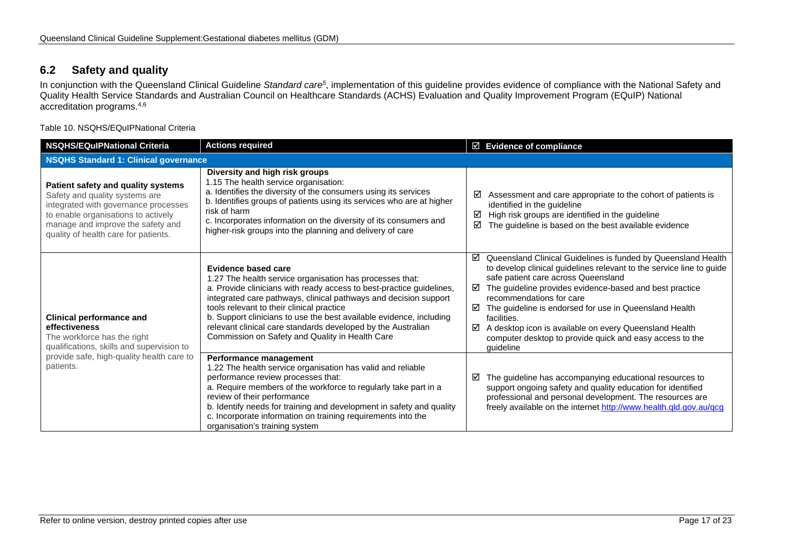# **6.2 Safety and quality**

In conjunction with the Queensland Clinical Guideline *Standard care5*, implementation of this guideline provides evidence of compliance with the National Safety and Quality Health Service Standards and Australian Council on Healthcare Standards (ACHS) Evaluation and Quality Improvement Program (EQuIP) National accreditation programs.4,6

Table 10. NSQHS/EQuIPNational Criteria

<span id="page-16-1"></span><span id="page-16-0"></span>

| <b>NSQHS/EQulPNational Criteria</b>                                                                                                                                                                                              | <b>Actions required</b>                                                                                                                                                                                                                                                                                                                                                                                                                                            | $\boxtimes$ Evidence of compliance                                                                                                                                                                                                                                                                                                                                                                                                                                                                  |  |
|----------------------------------------------------------------------------------------------------------------------------------------------------------------------------------------------------------------------------------|--------------------------------------------------------------------------------------------------------------------------------------------------------------------------------------------------------------------------------------------------------------------------------------------------------------------------------------------------------------------------------------------------------------------------------------------------------------------|-----------------------------------------------------------------------------------------------------------------------------------------------------------------------------------------------------------------------------------------------------------------------------------------------------------------------------------------------------------------------------------------------------------------------------------------------------------------------------------------------------|--|
| <b>NSQHS Standard 1: Clinical governance</b>                                                                                                                                                                                     |                                                                                                                                                                                                                                                                                                                                                                                                                                                                    |                                                                                                                                                                                                                                                                                                                                                                                                                                                                                                     |  |
| Patient safety and quality systems<br>Safety and quality systems are<br>integrated with governance processes<br>to enable organisations to actively<br>manage and improve the safety and<br>quality of health care for patients. | Diversity and high risk groups<br>1.15 The health service organisation:<br>a. Identifies the diversity of the consumers using its services<br>b. Identifies groups of patients using its services who are at higher<br>risk of harm<br>c. Incorporates information on the diversity of its consumers and<br>higher-risk groups into the planning and delivery of care                                                                                              | Assessment and care appropriate to the cohort of patients is<br>☑<br>identified in the guideline<br>High risk groups are identified in the guideline<br>☑<br>The guideline is based on the best available evidence<br>☑                                                                                                                                                                                                                                                                             |  |
| <b>Clinical performance and</b><br>effectiveness<br>The workforce has the right<br>qualifications, skills and supervision to<br>provide safe, high-quality health care to<br>patients.                                           | Evidence based care<br>1.27 The health service organisation has processes that:<br>a. Provide clinicians with ready access to best-practice guidelines,<br>integrated care pathways, clinical pathways and decision support<br>tools relevant to their clinical practice<br>b. Support clinicians to use the best available evidence, including<br>relevant clinical care standards developed by the Australian<br>Commission on Safety and Quality in Health Care | ☑<br>Queensland Clinical Guidelines is funded by Queensland Health<br>to develop clinical guidelines relevant to the service line to guide<br>safe patient care across Queensland<br>The guideline provides evidence-based and best practice<br>⊠<br>recommendations for care<br>☑<br>The guideline is endorsed for use in Queensland Health<br>facilities.<br>A desktop icon is available on every Queensland Health<br>⊠<br>computer desktop to provide quick and easy access to the<br>guideline |  |
|                                                                                                                                                                                                                                  | Performance management<br>1.22 The health service organisation has valid and reliable<br>performance review processes that:<br>a. Require members of the workforce to regularly take part in a<br>review of their performance<br>b. Identify needs for training and development in safety and quality<br>c. Incorporate information on training requirements into the<br>organisation's training system                                                            | The guideline has accompanying educational resources to<br>☑<br>support ongoing safety and quality education for identified<br>professional and personal development. The resources are<br>freely available on the internet http://www.health.qld.gov.au/qcg                                                                                                                                                                                                                                        |  |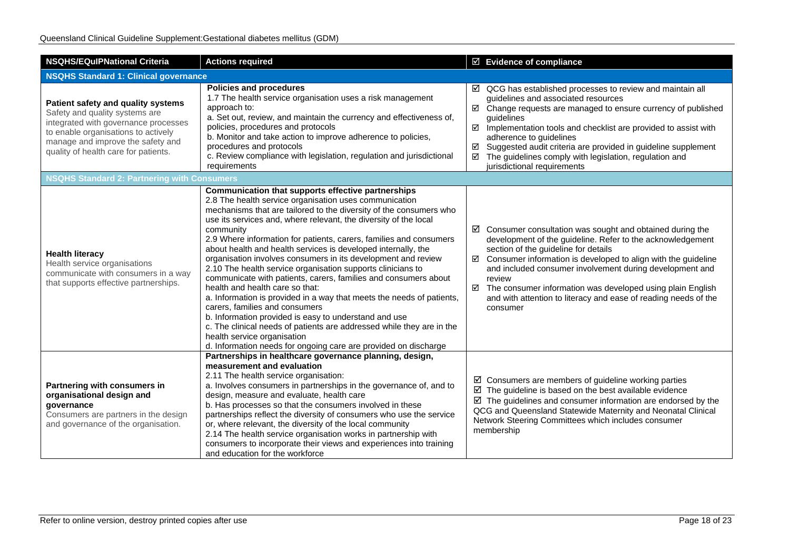| <b>NSQHS/EQuIPNational Criteria</b>                                                                                                                                                                                              | <b>Actions required</b>                                                                                                                                                                                                                                                                                                                                                                                                                                                                                                                                                                                                                                                                                                                                                                                                                                                                                                                                                                         | $\boxtimes$ Evidence of compliance                                                                                                                                                                                                                                                                                                                                                                                                                                         |  |  |
|----------------------------------------------------------------------------------------------------------------------------------------------------------------------------------------------------------------------------------|-------------------------------------------------------------------------------------------------------------------------------------------------------------------------------------------------------------------------------------------------------------------------------------------------------------------------------------------------------------------------------------------------------------------------------------------------------------------------------------------------------------------------------------------------------------------------------------------------------------------------------------------------------------------------------------------------------------------------------------------------------------------------------------------------------------------------------------------------------------------------------------------------------------------------------------------------------------------------------------------------|----------------------------------------------------------------------------------------------------------------------------------------------------------------------------------------------------------------------------------------------------------------------------------------------------------------------------------------------------------------------------------------------------------------------------------------------------------------------------|--|--|
| <b>NSQHS Standard 1: Clinical governance</b>                                                                                                                                                                                     |                                                                                                                                                                                                                                                                                                                                                                                                                                                                                                                                                                                                                                                                                                                                                                                                                                                                                                                                                                                                 |                                                                                                                                                                                                                                                                                                                                                                                                                                                                            |  |  |
| Patient safety and quality systems<br>Safety and quality systems are<br>integrated with governance processes<br>to enable organisations to actively<br>manage and improve the safety and<br>quality of health care for patients. | <b>Policies and procedures</b><br>1.7 The health service organisation uses a risk management<br>approach to:<br>a. Set out, review, and maintain the currency and effectiveness of,<br>policies, procedures and protocols<br>b. Monitor and take action to improve adherence to policies,<br>procedures and protocols<br>c. Review compliance with legislation, regulation and jurisdictional<br>requirements                                                                                                                                                                                                                                                                                                                                                                                                                                                                                                                                                                                   | $\boxtimes$ QCG has established processes to review and maintain all<br>guidelines and associated resources<br>Change requests are managed to ensure currency of published<br>☑<br>guidelines<br>$\boxtimes$ Implementation tools and checklist are provided to assist with<br>adherence to guidelines<br>Suggested audit criteria are provided in guideline supplement<br>☑<br>The guidelines comply with legislation, regulation and<br>☑<br>jurisdictional requirements |  |  |
| <b>NSQHS Standard 2: Partnering with Consumers</b>                                                                                                                                                                               |                                                                                                                                                                                                                                                                                                                                                                                                                                                                                                                                                                                                                                                                                                                                                                                                                                                                                                                                                                                                 |                                                                                                                                                                                                                                                                                                                                                                                                                                                                            |  |  |
| <b>Health literacy</b><br>Health service organisations<br>communicate with consumers in a way<br>that supports effective partnerships.                                                                                           | Communication that supports effective partnerships<br>2.8 The health service organisation uses communication<br>mechanisms that are tailored to the diversity of the consumers who<br>use its services and, where relevant, the diversity of the local<br>community<br>2.9 Where information for patients, carers, families and consumers<br>about health and health services is developed internally, the<br>organisation involves consumers in its development and review<br>2.10 The health service organisation supports clinicians to<br>communicate with patients, carers, families and consumers about<br>health and health care so that:<br>a. Information is provided in a way that meets the needs of patients,<br>carers, families and consumers<br>b. Information provided is easy to understand and use<br>c. The clinical needs of patients are addressed while they are in the<br>health service organisation<br>d. Information needs for ongoing care are provided on discharge | $\boxtimes$ Consumer consultation was sought and obtained during the<br>development of the guideline. Refer to the acknowledgement<br>section of the guideline for details<br>Consumer information is developed to align with the guideline<br>☑<br>and included consumer involvement during development and<br>review<br>☑ The consumer information was developed using plain English<br>and with attention to literacy and ease of reading needs of the<br>consumer      |  |  |
| Partnering with consumers in<br>organisational design and<br>governance<br>Consumers are partners in the design<br>and governance of the organisation.                                                                           | Partnerships in healthcare governance planning, design,<br>measurement and evaluation<br>2.11 The health service organisation:<br>a. Involves consumers in partnerships in the governance of, and to<br>design, measure and evaluate, health care<br>b. Has processes so that the consumers involved in these<br>partnerships reflect the diversity of consumers who use the service<br>or, where relevant, the diversity of the local community<br>2.14 The health service organisation works in partnership with<br>consumers to incorporate their views and experiences into training<br>and education for the workforce                                                                                                                                                                                                                                                                                                                                                                     | $\boxtimes$ Consumers are members of guideline working parties<br>$\boxtimes$ The guideline is based on the best available evidence<br>$\boxtimes$ The guidelines and consumer information are endorsed by the<br>QCG and Queensland Statewide Maternity and Neonatal Clinical<br>Network Steering Committees which includes consumer<br>membership                                                                                                                        |  |  |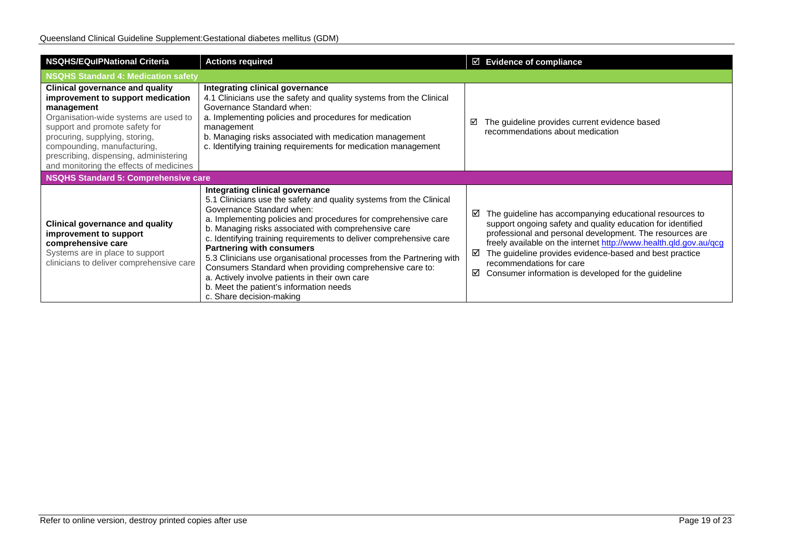| <b>NSQHS/EQulPNational Criteria</b>                                                                                                                                                                                                                                                                                        | <b>Actions required</b>                                                                                                                                                                                                                                                                                                                                                                                                                                                                                                                                                                                                              | $\boxtimes$ Evidence of compliance                                                                                                                                                                                                                                                                                                                                                                                   |  |
|----------------------------------------------------------------------------------------------------------------------------------------------------------------------------------------------------------------------------------------------------------------------------------------------------------------------------|--------------------------------------------------------------------------------------------------------------------------------------------------------------------------------------------------------------------------------------------------------------------------------------------------------------------------------------------------------------------------------------------------------------------------------------------------------------------------------------------------------------------------------------------------------------------------------------------------------------------------------------|----------------------------------------------------------------------------------------------------------------------------------------------------------------------------------------------------------------------------------------------------------------------------------------------------------------------------------------------------------------------------------------------------------------------|--|
| <b>NSQHS Standard 4: Medication safety</b>                                                                                                                                                                                                                                                                                 |                                                                                                                                                                                                                                                                                                                                                                                                                                                                                                                                                                                                                                      |                                                                                                                                                                                                                                                                                                                                                                                                                      |  |
| <b>Clinical governance and quality</b><br>improvement to support medication<br>management<br>Organisation-wide systems are used to<br>support and promote safety for<br>procuring, supplying, storing,<br>compounding, manufacturing,<br>prescribing, dispensing, administering<br>and monitoring the effects of medicines | Integrating clinical governance<br>4.1 Clinicians use the safety and quality systems from the Clinical<br>Governance Standard when:<br>a. Implementing policies and procedures for medication<br>management<br>b. Managing risks associated with medication management<br>c. Identifying training requirements for medication management                                                                                                                                                                                                                                                                                             | The guideline provides current evidence based<br>☑<br>recommendations about medication                                                                                                                                                                                                                                                                                                                               |  |
| NSQHS Standard 5: Comprehensive care                                                                                                                                                                                                                                                                                       |                                                                                                                                                                                                                                                                                                                                                                                                                                                                                                                                                                                                                                      |                                                                                                                                                                                                                                                                                                                                                                                                                      |  |
| <b>Clinical governance and quality</b><br>improvement to support<br>comprehensive care<br>Systems are in place to support<br>clinicians to deliver comprehensive care                                                                                                                                                      | Integrating clinical governance<br>5.1 Clinicians use the safety and quality systems from the Clinical<br>Governance Standard when:<br>a. Implementing policies and procedures for comprehensive care<br>b. Managing risks associated with comprehensive care<br>c. Identifying training requirements to deliver comprehensive care<br><b>Partnering with consumers</b><br>5.3 Clinicians use organisational processes from the Partnering with<br>Consumers Standard when providing comprehensive care to:<br>a. Actively involve patients in their own care<br>b. Meet the patient's information needs<br>c. Share decision-making | The guideline has accompanying educational resources to<br>☑<br>support ongoing safety and quality education for identified<br>professional and personal development. The resources are<br>freely available on the internet http://www.health.qld.gov.au/qcg<br>The guideline provides evidence-based and best practice<br>☑<br>recommendations for care<br>Consumer information is developed for the guideline<br>☑ |  |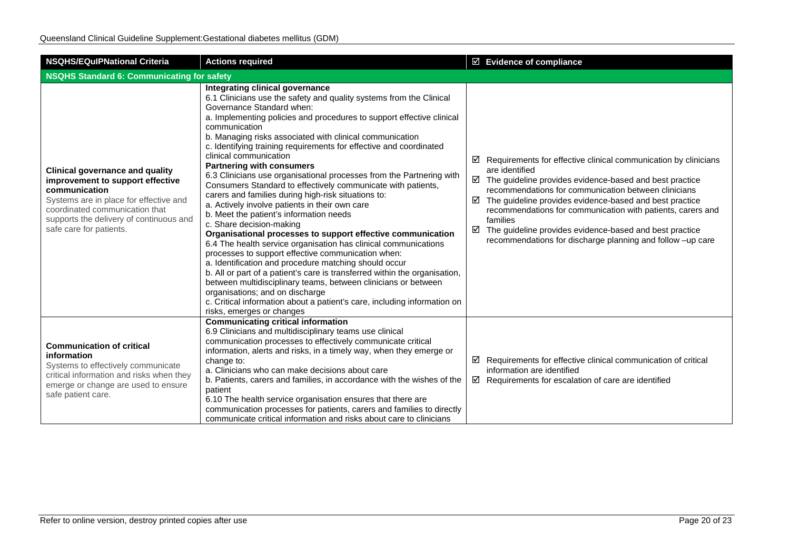| <b>NSQHS/EQulPNational Criteria</b>                                                                                                                                                                                                           | <b>Actions required</b>                                                                                                                                                                                                                                                                                                                                                                                                                                                                                                                                                                                                                                                                                                                                                                                                                                                                                                                                                                                                                                                                                                                                                                                                                                                                            | $\boxtimes$ Evidence of compliance                                                                                                                                                                                                                                                                                                                                                                                                                                                                    |  |  |
|-----------------------------------------------------------------------------------------------------------------------------------------------------------------------------------------------------------------------------------------------|----------------------------------------------------------------------------------------------------------------------------------------------------------------------------------------------------------------------------------------------------------------------------------------------------------------------------------------------------------------------------------------------------------------------------------------------------------------------------------------------------------------------------------------------------------------------------------------------------------------------------------------------------------------------------------------------------------------------------------------------------------------------------------------------------------------------------------------------------------------------------------------------------------------------------------------------------------------------------------------------------------------------------------------------------------------------------------------------------------------------------------------------------------------------------------------------------------------------------------------------------------------------------------------------------|-------------------------------------------------------------------------------------------------------------------------------------------------------------------------------------------------------------------------------------------------------------------------------------------------------------------------------------------------------------------------------------------------------------------------------------------------------------------------------------------------------|--|--|
| <b>NSQHS Standard 6: Communicating for safety</b>                                                                                                                                                                                             |                                                                                                                                                                                                                                                                                                                                                                                                                                                                                                                                                                                                                                                                                                                                                                                                                                                                                                                                                                                                                                                                                                                                                                                                                                                                                                    |                                                                                                                                                                                                                                                                                                                                                                                                                                                                                                       |  |  |
| <b>Clinical governance and quality</b><br>improvement to support effective<br>communication<br>Systems are in place for effective and<br>coordinated communication that<br>supports the delivery of continuous and<br>safe care for patients. | Integrating clinical governance<br>6.1 Clinicians use the safety and quality systems from the Clinical<br>Governance Standard when:<br>a. Implementing policies and procedures to support effective clinical<br>communication<br>b. Managing risks associated with clinical communication<br>c. Identifying training requirements for effective and coordinated<br>clinical communication<br><b>Partnering with consumers</b><br>6.3 Clinicians use organisational processes from the Partnering with<br>Consumers Standard to effectively communicate with patients,<br>carers and families during high-risk situations to:<br>a. Actively involve patients in their own care<br>b. Meet the patient's information needs<br>c. Share decision-making<br>Organisational processes to support effective communication<br>6.4 The health service organisation has clinical communications<br>processes to support effective communication when:<br>a. Identification and procedure matching should occur<br>b. All or part of a patient's care is transferred within the organisation,<br>between multidisciplinary teams, between clinicians or between<br>organisations; and on discharge<br>c. Critical information about a patient's care, including information on<br>risks, emerges or changes | Requirements for effective clinical communication by clinicians<br>☑<br>are identified<br>$\boxtimes$ The guideline provides evidence-based and best practice<br>recommendations for communication between clinicians<br>The guideline provides evidence-based and best practice<br>☑<br>recommendations for communication with patients, carers and<br>families<br>$\boxtimes$ The guideline provides evidence-based and best practice<br>recommendations for discharge planning and follow -up care |  |  |
| <b>Communication of critical</b><br>information<br>Systems to effectively communicate<br>critical information and risks when they<br>emerge or change are used to ensure<br>safe patient care.                                                | <b>Communicating critical information</b><br>6.9 Clinicians and multidisciplinary teams use clinical<br>communication processes to effectively communicate critical<br>information, alerts and risks, in a timely way, when they emerge or<br>change to:<br>a. Clinicians who can make decisions about care<br>b. Patients, carers and families, in accordance with the wishes of the<br>patient<br>6.10 The health service organisation ensures that there are<br>communication processes for patients, carers and families to directly<br>communicate critical information and risks about care to clinicians                                                                                                                                                                                                                                                                                                                                                                                                                                                                                                                                                                                                                                                                                    | Requirements for effective clinical communication of critical<br>☑<br>information are identified<br>$\boxtimes$ Requirements for escalation of care are identified                                                                                                                                                                                                                                                                                                                                    |  |  |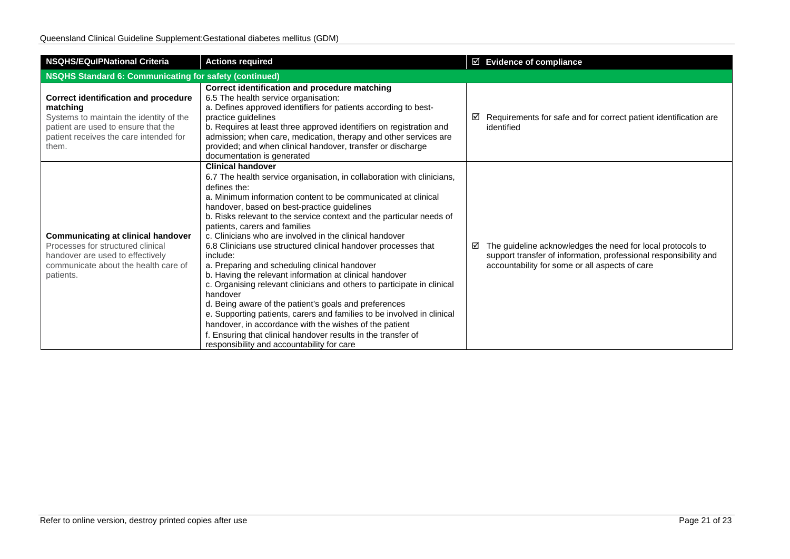| <b>NSQHS/EQuIPNational Criteria</b>                                                                                                                                                          | <b>Actions required</b>                                                                                                                                                                                                                                                                                                                                                                                                                                                                                                                                                                                                                                                                                                                                                                                                                                                                                                                                                                             | ☑ Evidence of compliance                                                                                                                                                              |  |
|----------------------------------------------------------------------------------------------------------------------------------------------------------------------------------------------|-----------------------------------------------------------------------------------------------------------------------------------------------------------------------------------------------------------------------------------------------------------------------------------------------------------------------------------------------------------------------------------------------------------------------------------------------------------------------------------------------------------------------------------------------------------------------------------------------------------------------------------------------------------------------------------------------------------------------------------------------------------------------------------------------------------------------------------------------------------------------------------------------------------------------------------------------------------------------------------------------------|---------------------------------------------------------------------------------------------------------------------------------------------------------------------------------------|--|
| <b>NSQHS Standard 6: Communicating for safety (continued)</b>                                                                                                                                |                                                                                                                                                                                                                                                                                                                                                                                                                                                                                                                                                                                                                                                                                                                                                                                                                                                                                                                                                                                                     |                                                                                                                                                                                       |  |
| <b>Correct identification and procedure</b><br>matching<br>Systems to maintain the identity of the<br>patient are used to ensure that the<br>patient receives the care intended for<br>them. | Correct identification and procedure matching<br>6.5 The health service organisation:<br>a. Defines approved identifiers for patients according to best-<br>practice quidelines<br>b. Requires at least three approved identifiers on registration and<br>admission; when care, medication, therapy and other services are<br>provided; and when clinical handover, transfer or discharge<br>documentation is generated                                                                                                                                                                                                                                                                                                                                                                                                                                                                                                                                                                             | Requirements for safe and for correct patient identification are<br>⊻<br>identified                                                                                                   |  |
| <b>Communicating at clinical handover</b><br>Processes for structured clinical<br>handover are used to effectively<br>communicate about the health care of<br>patients.                      | <b>Clinical handover</b><br>6.7 The health service organisation, in collaboration with clinicians,<br>defines the:<br>a. Minimum information content to be communicated at clinical<br>handover, based on best-practice guidelines<br>b. Risks relevant to the service context and the particular needs of<br>patients, carers and families<br>c. Clinicians who are involved in the clinical handover<br>6.8 Clinicians use structured clinical handover processes that<br>include:<br>a. Preparing and scheduling clinical handover<br>b. Having the relevant information at clinical handover<br>c. Organising relevant clinicians and others to participate in clinical<br>handover<br>d. Being aware of the patient's goals and preferences<br>e. Supporting patients, carers and families to be involved in clinical<br>handover, in accordance with the wishes of the patient<br>f. Ensuring that clinical handover results in the transfer of<br>responsibility and accountability for care | The guideline acknowledges the need for local protocols to<br>☑<br>support transfer of information, professional responsibility and<br>accountability for some or all aspects of care |  |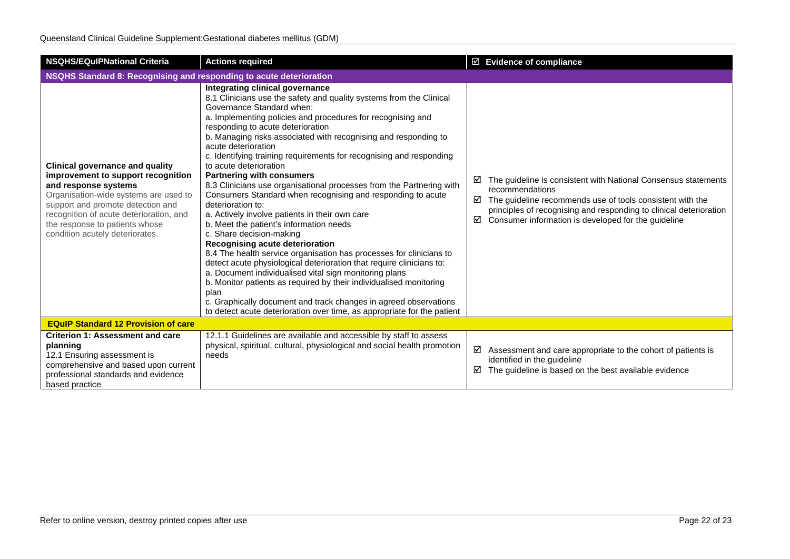| <b>NSQHS/EQuIPNational Criteria</b>                                                                                                                                                                                                                                                                | <b>Actions required</b>                                                                                                                                                                                                                                                                                                                                                                                                                                                                                                                                                                                                                                                                                                                                                                                                                                                                                                                                                                                                                                                                                                                                                                                                              | ☑ Evidence of compliance                                                                                                                                                                                                                                                                   |  |
|----------------------------------------------------------------------------------------------------------------------------------------------------------------------------------------------------------------------------------------------------------------------------------------------------|--------------------------------------------------------------------------------------------------------------------------------------------------------------------------------------------------------------------------------------------------------------------------------------------------------------------------------------------------------------------------------------------------------------------------------------------------------------------------------------------------------------------------------------------------------------------------------------------------------------------------------------------------------------------------------------------------------------------------------------------------------------------------------------------------------------------------------------------------------------------------------------------------------------------------------------------------------------------------------------------------------------------------------------------------------------------------------------------------------------------------------------------------------------------------------------------------------------------------------------|--------------------------------------------------------------------------------------------------------------------------------------------------------------------------------------------------------------------------------------------------------------------------------------------|--|
| NSQHS Standard 8: Recognising and responding to acute deterioration                                                                                                                                                                                                                                |                                                                                                                                                                                                                                                                                                                                                                                                                                                                                                                                                                                                                                                                                                                                                                                                                                                                                                                                                                                                                                                                                                                                                                                                                                      |                                                                                                                                                                                                                                                                                            |  |
| <b>Clinical governance and quality</b><br>improvement to support recognition<br>and response systems<br>Organisation-wide systems are used to<br>support and promote detection and<br>recognition of acute deterioration, and<br>the response to patients whose<br>condition acutely deteriorates. | Integrating clinical governance<br>8.1 Clinicians use the safety and quality systems from the Clinical<br>Governance Standard when:<br>a. Implementing policies and procedures for recognising and<br>responding to acute deterioration<br>b. Managing risks associated with recognising and responding to<br>acute deterioration<br>c. Identifying training requirements for recognising and responding<br>to acute deterioration<br><b>Partnering with consumers</b><br>8.3 Clinicians use organisational processes from the Partnering with<br>Consumers Standard when recognising and responding to acute<br>deterioration to:<br>a. Actively involve patients in their own care<br>b. Meet the patient's information needs<br>c. Share decision-making<br>Recognising acute deterioration<br>8.4 The health service organisation has processes for clinicians to<br>detect acute physiological deterioration that require clinicians to:<br>a. Document individualised vital sign monitoring plans<br>b. Monitor patients as required by their individualised monitoring<br>plan<br>c. Graphically document and track changes in agreed observations<br>to detect acute deterioration over time, as appropriate for the patient | The guideline is consistent with National Consensus statements<br>☑<br>recommendations<br>The guideline recommends use of tools consistent with the<br>☑<br>principles of recognising and responding to clinical deterioration<br>Consumer information is developed for the guideline<br>☑ |  |
| <b>EQuIP Standard 12 Provision of care</b>                                                                                                                                                                                                                                                         |                                                                                                                                                                                                                                                                                                                                                                                                                                                                                                                                                                                                                                                                                                                                                                                                                                                                                                                                                                                                                                                                                                                                                                                                                                      |                                                                                                                                                                                                                                                                                            |  |
| <b>Criterion 1: Assessment and care</b><br>planning<br>12.1 Ensuring assessment is<br>comprehensive and based upon current<br>professional standards and evidence<br>based practice                                                                                                                | 12.1.1 Guidelines are available and accessible by staff to assess<br>physical, spiritual, cultural, physiological and social health promotion<br>needs                                                                                                                                                                                                                                                                                                                                                                                                                                                                                                                                                                                                                                                                                                                                                                                                                                                                                                                                                                                                                                                                               | ☑<br>Assessment and care appropriate to the cohort of patients is<br>identified in the guideline<br>☑<br>The guideline is based on the best available evidence                                                                                                                             |  |